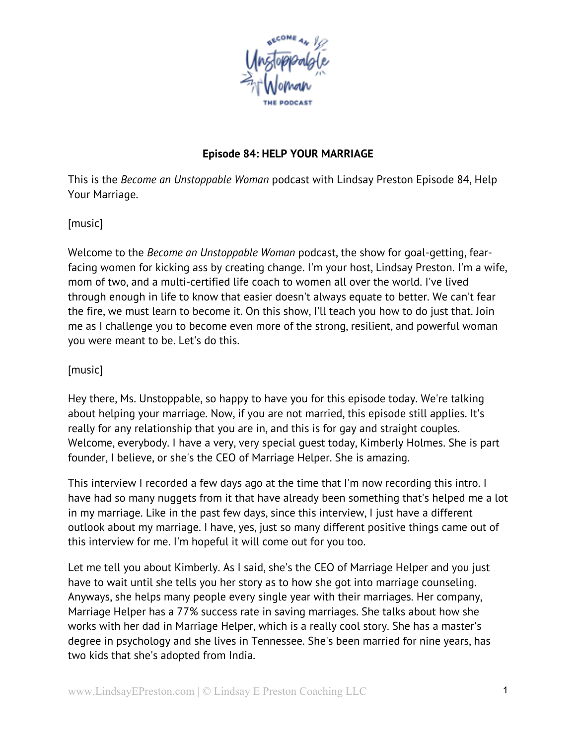

## **Episode 84: HELP YOUR MARRIAGE**

This is the *Become an Unstoppable Woman* podcast with Lindsay Preston Episode 84, Help Your Marriage.

[music]

Welcome to the *Become an Unstoppable Woman* podcast, the show for goal-getting, fearfacing women for kicking ass by creating change. I'm your host, Lindsay Preston. I'm a wife, mom of two, and a multi-certified life coach to women all over the world. I've lived through enough in life to know that easier doesn't always equate to better. We can't fear the fire, we must learn to become it. On this show, I'll teach you how to do just that. Join me as I challenge you to become even more of the strong, resilient, and powerful woman you were meant to be. Let's do this.

[music]

Hey there, Ms. Unstoppable, so happy to have you for this episode today. We're talking about helping your marriage. Now, if you are not married, this episode still applies. It's really for any relationship that you are in, and this is for gay and straight couples. Welcome, everybody. I have a very, very special guest today, Kimberly Holmes. She is part founder, I believe, or she's the CEO of Marriage Helper. She is amazing.

This interview I recorded a few days ago at the time that I'm now recording this intro. I have had so many nuggets from it that have already been something that's helped me a lot in my marriage. Like in the past few days, since this interview, I just have a different outlook about my marriage. I have, yes, just so many different positive things came out of this interview for me. I'm hopeful it will come out for you too.

Let me tell you about Kimberly. As I said, she's the CEO of Marriage Helper and you just have to wait until she tells you her story as to how she got into marriage counseling. Anyways, she helps many people every single year with their marriages. Her company, Marriage Helper has a 77% success rate in saving marriages. She talks about how she works with her dad in Marriage Helper, which is a really cool story. She has a master's degree in psychology and she lives in Tennessee. She's been married for nine years, has two kids that she's adopted from India.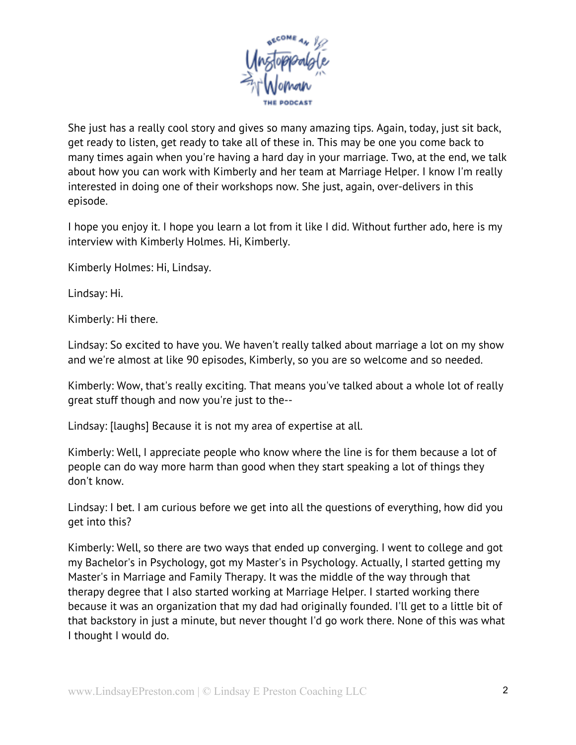

She just has a really cool story and gives so many amazing tips. Again, today, just sit back, get ready to listen, get ready to take all of these in. This may be one you come back to many times again when you're having a hard day in your marriage. Two, at the end, we talk about how you can work with Kimberly and her team at Marriage Helper. I know I'm really interested in doing one of their workshops now. She just, again, over-delivers in this episode.

I hope you enjoy it. I hope you learn a lot from it like I did. Without further ado, here is my interview with Kimberly Holmes. Hi, Kimberly.

Kimberly Holmes: Hi, Lindsay.

Lindsay: Hi.

Kimberly: Hi there.

Lindsay: So excited to have you. We haven't really talked about marriage a lot on my show and we're almost at like 90 episodes, Kimberly, so you are so welcome and so needed.

Kimberly: Wow, that's really exciting. That means you've talked about a whole lot of really great stuff though and now you're just to the--

Lindsay: [laughs] Because it is not my area of expertise at all.

Kimberly: Well, I appreciate people who know where the line is for them because a lot of people can do way more harm than good when they start speaking a lot of things they don't know.

Lindsay: I bet. I am curious before we get into all the questions of everything, how did you get into this?

Kimberly: Well, so there are two ways that ended up converging. I went to college and got my Bachelor's in Psychology, got my Master's in Psychology. Actually, I started getting my Master's in Marriage and Family Therapy. It was the middle of the way through that therapy degree that I also started working at Marriage Helper. I started working there because it was an organization that my dad had originally founded. I'll get to a little bit of that backstory in just a minute, but never thought I'd go work there. None of this was what I thought I would do.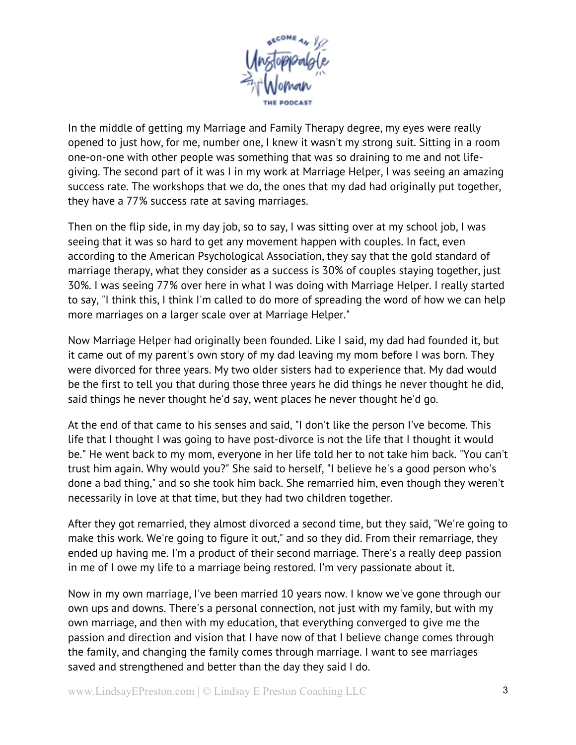

In the middle of getting my Marriage and Family Therapy degree, my eyes were really opened to just how, for me, number one, I knew it wasn't my strong suit. Sitting in a room one-on-one with other people was something that was so draining to me and not lifegiving. The second part of it was I in my work at Marriage Helper, I was seeing an amazing success rate. The workshops that we do, the ones that my dad had originally put together, they have a 77% success rate at saving marriages.

Then on the flip side, in my day job, so to say, I was sitting over at my school job, I was seeing that it was so hard to get any movement happen with couples. In fact, even according to the American Psychological Association, they say that the gold standard of marriage therapy, what they consider as a success is 30% of couples staying together, just 30%. I was seeing 77% over here in what I was doing with Marriage Helper. I really started to say, "I think this, I think I'm called to do more of spreading the word of how we can help more marriages on a larger scale over at Marriage Helper."

Now Marriage Helper had originally been founded. Like I said, my dad had founded it, but it came out of my parent's own story of my dad leaving my mom before I was born. They were divorced for three years. My two older sisters had to experience that. My dad would be the first to tell you that during those three years he did things he never thought he did, said things he never thought he'd say, went places he never thought he'd go.

At the end of that came to his senses and said, "I don't like the person I've become. This life that I thought I was going to have post-divorce is not the life that I thought it would be." He went back to my mom, everyone in her life told her to not take him back. "You can't trust him again. Why would you?" She said to herself, "I believe he's a good person who's done a bad thing," and so she took him back. She remarried him, even though they weren't necessarily in love at that time, but they had two children together.

After they got remarried, they almost divorced a second time, but they said, "We're going to make this work. We're going to figure it out," and so they did. From their remarriage, they ended up having me. I'm a product of their second marriage. There's a really deep passion in me of I owe my life to a marriage being restored. I'm very passionate about it.

Now in my own marriage, I've been married 10 years now. I know we've gone through our own ups and downs. There's a personal connection, not just with my family, but with my own marriage, and then with my education, that everything converged to give me the passion and direction and vision that I have now of that I believe change comes through the family, and changing the family comes through marriage. I want to see marriages saved and strengthened and better than the day they said I do.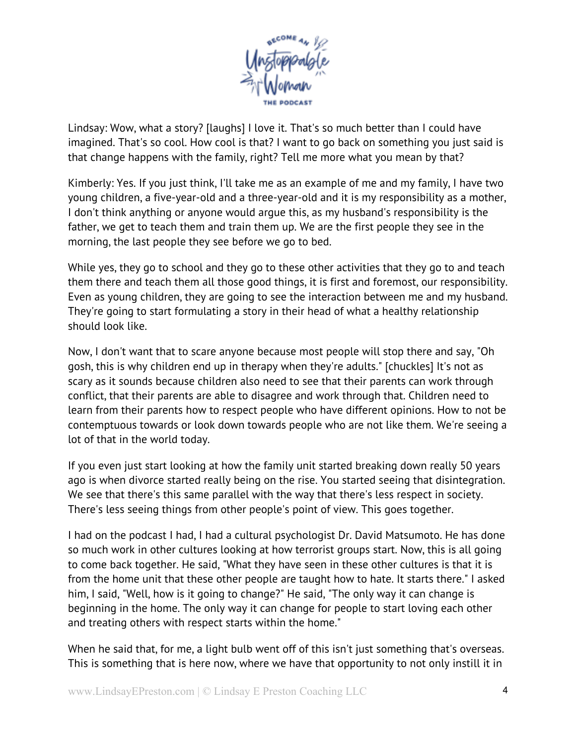

Lindsay: Wow, what a story? [laughs] I love it. That's so much better than I could have imagined. That's so cool. How cool is that? I want to go back on something you just said is that change happens with the family, right? Tell me more what you mean by that?

Kimberly: Yes. If you just think, I'll take me as an example of me and my family, I have two young children, a five-year-old and a three-year-old and it is my responsibility as a mother, I don't think anything or anyone would argue this, as my husband's responsibility is the father, we get to teach them and train them up. We are the first people they see in the morning, the last people they see before we go to bed.

While yes, they go to school and they go to these other activities that they go to and teach them there and teach them all those good things, it is first and foremost, our responsibility. Even as young children, they are going to see the interaction between me and my husband. They're going to start formulating a story in their head of what a healthy relationship should look like.

Now, I don't want that to scare anyone because most people will stop there and say, "Oh gosh, this is why children end up in therapy when they're adults." [chuckles] It's not as scary as it sounds because children also need to see that their parents can work through conflict, that their parents are able to disagree and work through that. Children need to learn from their parents how to respect people who have different opinions. How to not be contemptuous towards or look down towards people who are not like them. We're seeing a lot of that in the world today.

If you even just start looking at how the family unit started breaking down really 50 years ago is when divorce started really being on the rise. You started seeing that disintegration. We see that there's this same parallel with the way that there's less respect in society. There's less seeing things from other people's point of view. This goes together.

I had on the podcast I had, I had a cultural psychologist Dr. David Matsumoto. He has done so much work in other cultures looking at how terrorist groups start. Now, this is all going to come back together. He said, "What they have seen in these other cultures is that it is from the home unit that these other people are taught how to hate. It starts there." I asked him, I said, "Well, how is it going to change?" He said, "The only way it can change is beginning in the home. The only way it can change for people to start loving each other and treating others with respect starts within the home."

When he said that, for me, a light bulb went off of this isn't just something that's overseas. This is something that is here now, where we have that opportunity to not only instill it in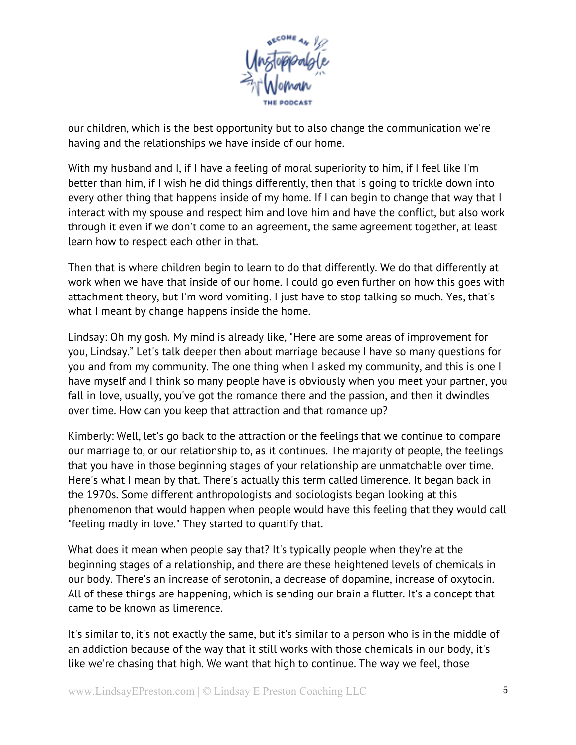

our children, which is the best opportunity but to also change the communication we're having and the relationships we have inside of our home.

With my husband and I, if I have a feeling of moral superiority to him, if I feel like I'm better than him, if I wish he did things differently, then that is going to trickle down into every other thing that happens inside of my home. If I can begin to change that way that I interact with my spouse and respect him and love him and have the conflict, but also work through it even if we don't come to an agreement, the same agreement together, at least learn how to respect each other in that.

Then that is where children begin to learn to do that differently. We do that differently at work when we have that inside of our home. I could go even further on how this goes with attachment theory, but I'm word vomiting. I just have to stop talking so much. Yes, that's what I meant by change happens inside the home.

Lindsay: Oh my gosh. My mind is already like, "Here are some areas of improvement for you, Lindsay." Let's talk deeper then about marriage because I have so many questions for you and from my community. The one thing when I asked my community, and this is one I have myself and I think so many people have is obviously when you meet your partner, you fall in love, usually, you've got the romance there and the passion, and then it dwindles over time. How can you keep that attraction and that romance up?

Kimberly: Well, let's go back to the attraction or the feelings that we continue to compare our marriage to, or our relationship to, as it continues. The majority of people, the feelings that you have in those beginning stages of your relationship are unmatchable over time. Here's what I mean by that. There's actually this term called limerence. It began back in the 1970s. Some different anthropologists and sociologists began looking at this phenomenon that would happen when people would have this feeling that they would call "feeling madly in love." They started to quantify that.

What does it mean when people say that? It's typically people when they're at the beginning stages of a relationship, and there are these heightened levels of chemicals in our body. There's an increase of serotonin, a decrease of dopamine, increase of oxytocin. All of these things are happening, which is sending our brain a flutter. It's a concept that came to be known as limerence.

It's similar to, it's not exactly the same, but it's similar to a person who is in the middle of an addiction because of the way that it still works with those chemicals in our body, it's like we're chasing that high. We want that high to continue. The way we feel, those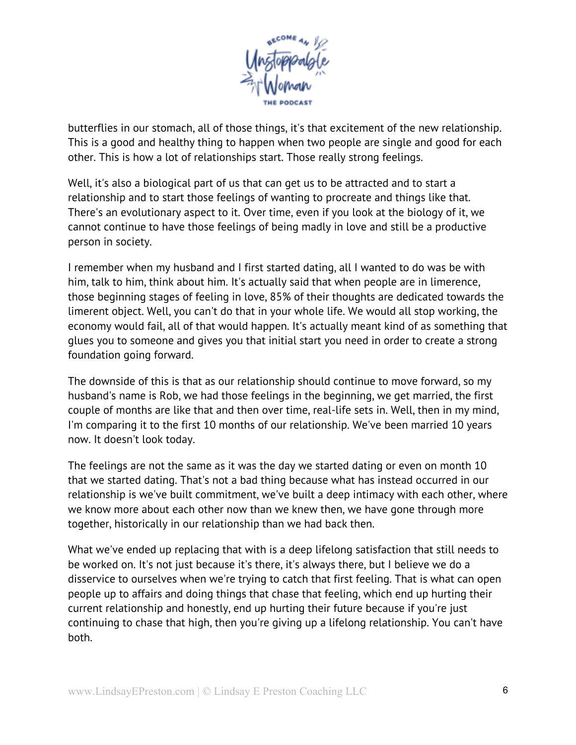

butterflies in our stomach, all of those things, it's that excitement of the new relationship. This is a good and healthy thing to happen when two people are single and good for each other. This is how a lot of relationships start. Those really strong feelings.

Well, it's also a biological part of us that can get us to be attracted and to start a relationship and to start those feelings of wanting to procreate and things like that. There's an evolutionary aspect to it. Over time, even if you look at the biology of it, we cannot continue to have those feelings of being madly in love and still be a productive person in society.

I remember when my husband and I first started dating, all I wanted to do was be with him, talk to him, think about him. It's actually said that when people are in limerence, those beginning stages of feeling in love, 85% of their thoughts are dedicated towards the limerent object. Well, you can't do that in your whole life. We would all stop working, the economy would fail, all of that would happen. It's actually meant kind of as something that glues you to someone and gives you that initial start you need in order to create a strong foundation going forward.

The downside of this is that as our relationship should continue to move forward, so my husband's name is Rob, we had those feelings in the beginning, we get married, the first couple of months are like that and then over time, real-life sets in. Well, then in my mind, I'm comparing it to the first 10 months of our relationship. We've been married 10 years now. It doesn't look today.

The feelings are not the same as it was the day we started dating or even on month 10 that we started dating. That's not a bad thing because what has instead occurred in our relationship is we've built commitment, we've built a deep intimacy with each other, where we know more about each other now than we knew then, we have gone through more together, historically in our relationship than we had back then.

What we've ended up replacing that with is a deep lifelong satisfaction that still needs to be worked on. It's not just because it's there, it's always there, but I believe we do a disservice to ourselves when we're trying to catch that first feeling. That is what can open people up to affairs and doing things that chase that feeling, which end up hurting their current relationship and honestly, end up hurting their future because if you're just continuing to chase that high, then you're giving up a lifelong relationship. You can't have both.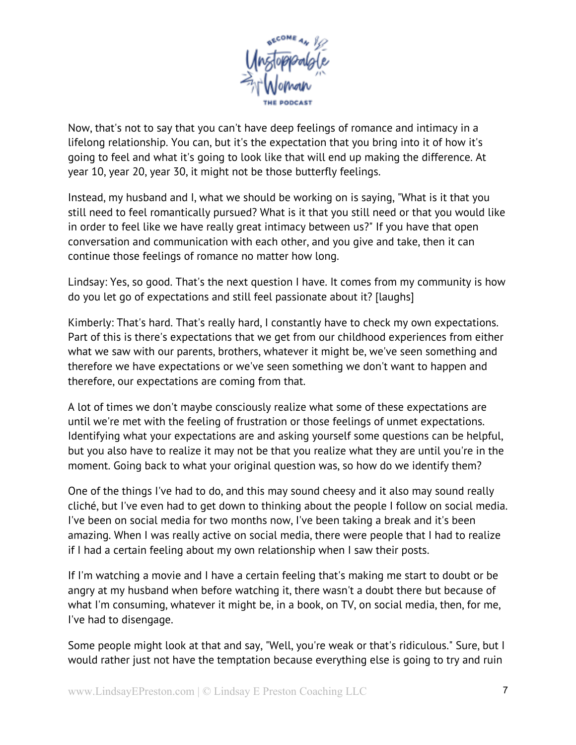

Now, that's not to say that you can't have deep feelings of romance and intimacy in a lifelong relationship. You can, but it's the expectation that you bring into it of how it's going to feel and what it's going to look like that will end up making the difference. At year 10, year 20, year 30, it might not be those butterfly feelings.

Instead, my husband and I, what we should be working on is saying, "What is it that you still need to feel romantically pursued? What is it that you still need or that you would like in order to feel like we have really great intimacy between us?" If you have that open conversation and communication with each other, and you give and take, then it can continue those feelings of romance no matter how long.

Lindsay: Yes, so good. That's the next question I have. It comes from my community is how do you let go of expectations and still feel passionate about it? [laughs]

Kimberly: That's hard. That's really hard, I constantly have to check my own expectations. Part of this is there's expectations that we get from our childhood experiences from either what we saw with our parents, brothers, whatever it might be, we've seen something and therefore we have expectations or we've seen something we don't want to happen and therefore, our expectations are coming from that.

A lot of times we don't maybe consciously realize what some of these expectations are until we're met with the feeling of frustration or those feelings of unmet expectations. Identifying what your expectations are and asking yourself some questions can be helpful, but you also have to realize it may not be that you realize what they are until you're in the moment. Going back to what your original question was, so how do we identify them?

One of the things I've had to do, and this may sound cheesy and it also may sound really cliché, but I've even had to get down to thinking about the people I follow on social media. I've been on social media for two months now, I've been taking a break and it's been amazing. When I was really active on social media, there were people that I had to realize if I had a certain feeling about my own relationship when I saw their posts.

If I'm watching a movie and I have a certain feeling that's making me start to doubt or be angry at my husband when before watching it, there wasn't a doubt there but because of what I'm consuming, whatever it might be, in a book, on TV, on social media, then, for me, I've had to disengage.

Some people might look at that and say, "Well, you're weak or that's ridiculous." Sure, but I would rather just not have the temptation because everything else is going to try and ruin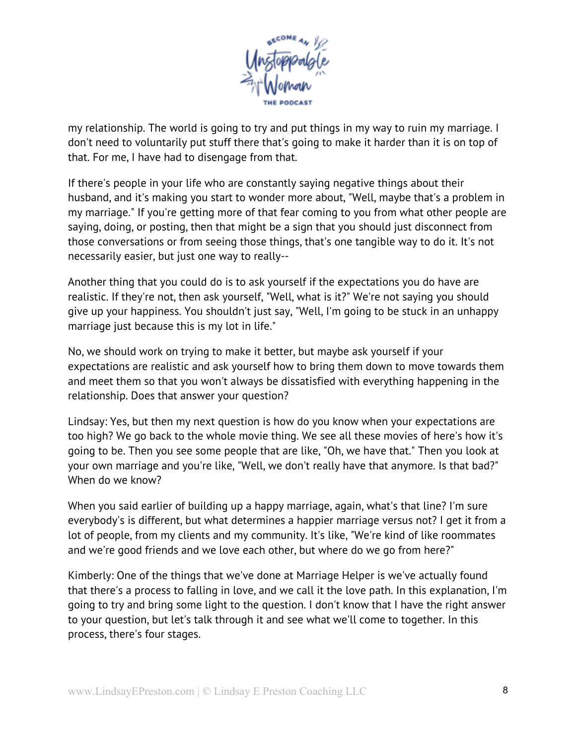

my relationship. The world is going to try and put things in my way to ruin my marriage. I don't need to voluntarily put stuff there that's going to make it harder than it is on top of that. For me, I have had to disengage from that.

If there's people in your life who are constantly saying negative things about their husband, and it's making you start to wonder more about, "Well, maybe that's a problem in my marriage." If you're getting more of that fear coming to you from what other people are saying, doing, or posting, then that might be a sign that you should just disconnect from those conversations or from seeing those things, that's one tangible way to do it. It's not necessarily easier, but just one way to really--

Another thing that you could do is to ask yourself if the expectations you do have are realistic. If they're not, then ask yourself, "Well, what is it?" We're not saying you should give up your happiness. You shouldn't just say, "Well, I'm going to be stuck in an unhappy marriage just because this is my lot in life."

No, we should work on trying to make it better, but maybe ask yourself if your expectations are realistic and ask yourself how to bring them down to move towards them and meet them so that you won't always be dissatisfied with everything happening in the relationship. Does that answer your question?

Lindsay: Yes, but then my next question is how do you know when your expectations are too high? We go back to the whole movie thing. We see all these movies of here's how it's going to be. Then you see some people that are like, "Oh, we have that." Then you look at your own marriage and you're like, "Well, we don't really have that anymore. Is that bad?" When do we know?

When you said earlier of building up a happy marriage, again, what's that line? I'm sure everybody's is different, but what determines a happier marriage versus not? I get it from a lot of people, from my clients and my community. It's like, "We're kind of like roommates and we're good friends and we love each other, but where do we go from here?"

Kimberly: One of the things that we've done at Marriage Helper is we've actually found that there's a process to falling in love, and we call it the love path. In this explanation, I'm going to try and bring some light to the question. I don't know that I have the right answer to your question, but let's talk through it and see what we'll come to together. In this process, there's four stages.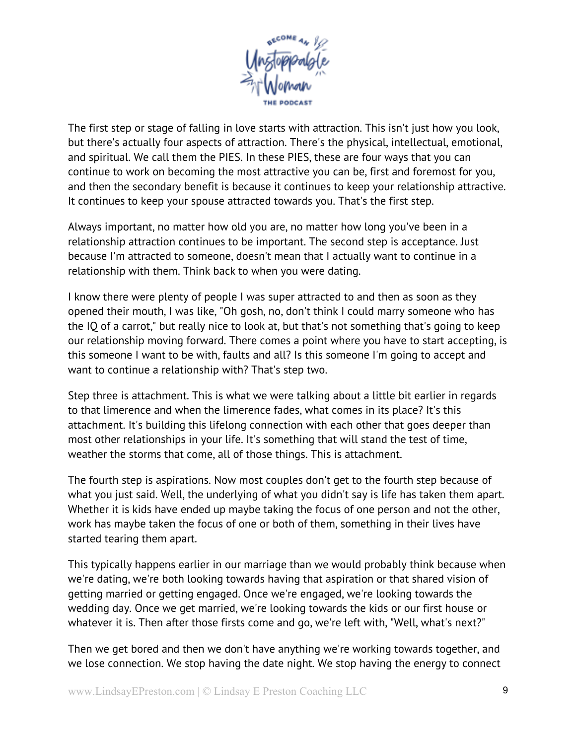

The first step or stage of falling in love starts with attraction. This isn't just how you look, but there's actually four aspects of attraction. There's the physical, intellectual, emotional, and spiritual. We call them the PIES. In these PIES, these are four ways that you can continue to work on becoming the most attractive you can be, first and foremost for you, and then the secondary benefit is because it continues to keep your relationship attractive. It continues to keep your spouse attracted towards you. That's the first step.

Always important, no matter how old you are, no matter how long you've been in a relationship attraction continues to be important. The second step is acceptance. Just because I'm attracted to someone, doesn't mean that I actually want to continue in a relationship with them. Think back to when you were dating.

I know there were plenty of people I was super attracted to and then as soon as they opened their mouth, I was like, "Oh gosh, no, don't think I could marry someone who has the IQ of a carrot," but really nice to look at, but that's not something that's going to keep our relationship moving forward. There comes a point where you have to start accepting, is this someone I want to be with, faults and all? Is this someone I'm going to accept and want to continue a relationship with? That's step two.

Step three is attachment. This is what we were talking about a little bit earlier in regards to that limerence and when the limerence fades, what comes in its place? It's this attachment. It's building this lifelong connection with each other that goes deeper than most other relationships in your life. It's something that will stand the test of time, weather the storms that come, all of those things. This is attachment.

The fourth step is aspirations. Now most couples don't get to the fourth step because of what you just said. Well, the underlying of what you didn't say is life has taken them apart. Whether it is kids have ended up maybe taking the focus of one person and not the other, work has maybe taken the focus of one or both of them, something in their lives have started tearing them apart.

This typically happens earlier in our marriage than we would probably think because when we're dating, we're both looking towards having that aspiration or that shared vision of getting married or getting engaged. Once we're engaged, we're looking towards the wedding day. Once we get married, we're looking towards the kids or our first house or whatever it is. Then after those firsts come and go, we're left with, "Well, what's next?"

Then we get bored and then we don't have anything we're working towards together, and we lose connection. We stop having the date night. We stop having the energy to connect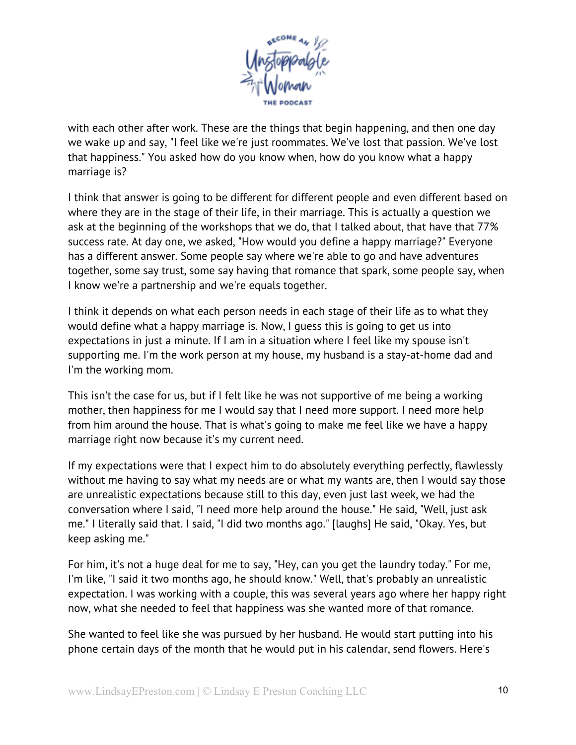

with each other after work. These are the things that begin happening, and then one day we wake up and say, "I feel like we're just roommates. We've lost that passion. We've lost that happiness." You asked how do you know when, how do you know what a happy marriage is?

I think that answer is going to be different for different people and even different based on where they are in the stage of their life, in their marriage. This is actually a question we ask at the beginning of the workshops that we do, that I talked about, that have that 77% success rate. At day one, we asked, "How would you define a happy marriage?" Everyone has a different answer. Some people say where we're able to go and have adventures together, some say trust, some say having that romance that spark, some people say, when I know we're a partnership and we're equals together.

I think it depends on what each person needs in each stage of their life as to what they would define what a happy marriage is. Now, I guess this is going to get us into expectations in just a minute. If I am in a situation where I feel like my spouse isn't supporting me. I'm the work person at my house, my husband is a stay-at-home dad and I'm the working mom.

This isn't the case for us, but if I felt like he was not supportive of me being a working mother, then happiness for me I would say that I need more support. I need more help from him around the house. That is what's going to make me feel like we have a happy marriage right now because it's my current need.

If my expectations were that I expect him to do absolutely everything perfectly, flawlessly without me having to say what my needs are or what my wants are, then I would say those are unrealistic expectations because still to this day, even just last week, we had the conversation where I said, "I need more help around the house." He said, "Well, just ask me." I literally said that. I said, "I did two months ago." [laughs] He said, "Okay. Yes, but keep asking me."

For him, it's not a huge deal for me to say, "Hey, can you get the laundry today." For me, I'm like, "I said it two months ago, he should know." Well, that's probably an unrealistic expectation. I was working with a couple, this was several years ago where her happy right now, what she needed to feel that happiness was she wanted more of that romance.

She wanted to feel like she was pursued by her husband. He would start putting into his phone certain days of the month that he would put in his calendar, send flowers. Here's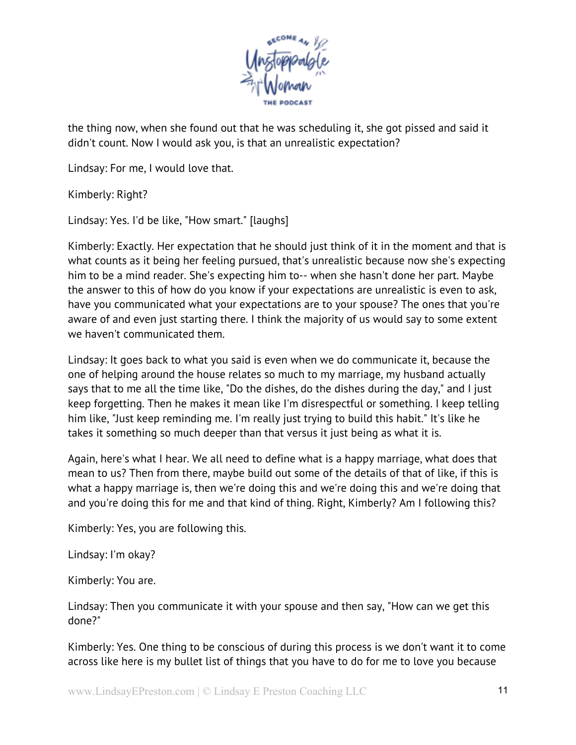

the thing now, when she found out that he was scheduling it, she got pissed and said it didn't count. Now I would ask you, is that an unrealistic expectation?

Lindsay: For me, I would love that.

Kimberly: Right?

Lindsay: Yes. I'd be like, "How smart." [laughs]

Kimberly: Exactly. Her expectation that he should just think of it in the moment and that is what counts as it being her feeling pursued, that's unrealistic because now she's expecting him to be a mind reader. She's expecting him to-- when she hasn't done her part. Maybe the answer to this of how do you know if your expectations are unrealistic is even to ask, have you communicated what your expectations are to your spouse? The ones that you're aware of and even just starting there. I think the majority of us would say to some extent we haven't communicated them.

Lindsay: It goes back to what you said is even when we do communicate it, because the one of helping around the house relates so much to my marriage, my husband actually says that to me all the time like, "Do the dishes, do the dishes during the day," and I just keep forgetting. Then he makes it mean like I'm disrespectful or something. I keep telling him like, "Just keep reminding me. I'm really just trying to build this habit." It's like he takes it something so much deeper than that versus it just being as what it is.

Again, here's what I hear. We all need to define what is a happy marriage, what does that mean to us? Then from there, maybe build out some of the details of that of like, if this is what a happy marriage is, then we're doing this and we're doing this and we're doing that and you're doing this for me and that kind of thing. Right, Kimberly? Am I following this?

Kimberly: Yes, you are following this.

Lindsay: I'm okay?

Kimberly: You are.

Lindsay: Then you communicate it with your spouse and then say, "How can we get this done?"

Kimberly: Yes. One thing to be conscious of during this process is we don't want it to come across like here is my bullet list of things that you have to do for me to love you because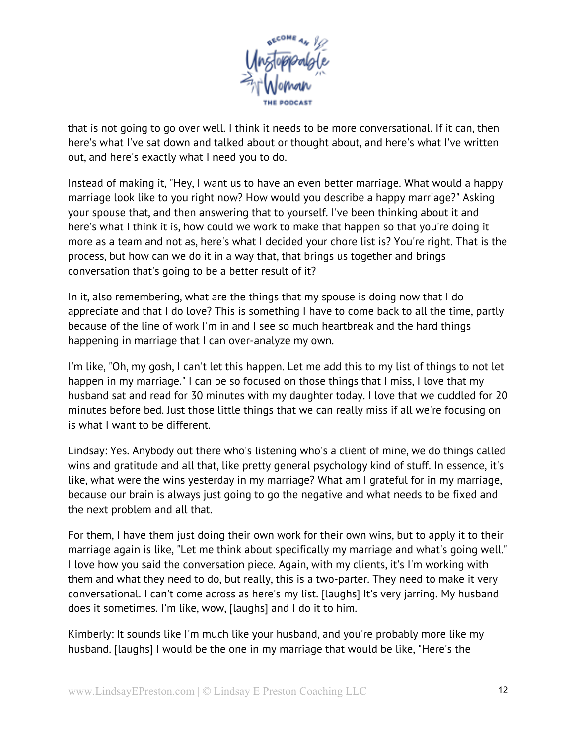

that is not going to go over well. I think it needs to be more conversational. If it can, then here's what I've sat down and talked about or thought about, and here's what I've written out, and here's exactly what I need you to do.

Instead of making it, "Hey, I want us to have an even better marriage. What would a happy marriage look like to you right now? How would you describe a happy marriage?" Asking your spouse that, and then answering that to yourself. I've been thinking about it and here's what I think it is, how could we work to make that happen so that you're doing it more as a team and not as, here's what I decided your chore list is? You're right. That is the process, but how can we do it in a way that, that brings us together and brings conversation that's going to be a better result of it?

In it, also remembering, what are the things that my spouse is doing now that I do appreciate and that I do love? This is something I have to come back to all the time, partly because of the line of work I'm in and I see so much heartbreak and the hard things happening in marriage that I can over-analyze my own.

I'm like, "Oh, my gosh, I can't let this happen. Let me add this to my list of things to not let happen in my marriage." I can be so focused on those things that I miss, I love that my husband sat and read for 30 minutes with my daughter today. I love that we cuddled for 20 minutes before bed. Just those little things that we can really miss if all we're focusing on is what I want to be different.

Lindsay: Yes. Anybody out there who's listening who's a client of mine, we do things called wins and gratitude and all that, like pretty general psychology kind of stuff. In essence, it's like, what were the wins yesterday in my marriage? What am I grateful for in my marriage, because our brain is always just going to go the negative and what needs to be fixed and the next problem and all that.

For them, I have them just doing their own work for their own wins, but to apply it to their marriage again is like, "Let me think about specifically my marriage and what's going well." I love how you said the conversation piece. Again, with my clients, it's I'm working with them and what they need to do, but really, this is a two-parter. They need to make it very conversational. I can't come across as here's my list. [laughs] It's very jarring. My husband does it sometimes. I'm like, wow, [laughs] and I do it to him.

Kimberly: It sounds like I'm much like your husband, and you're probably more like my husband. [laughs] I would be the one in my marriage that would be like, "Here's the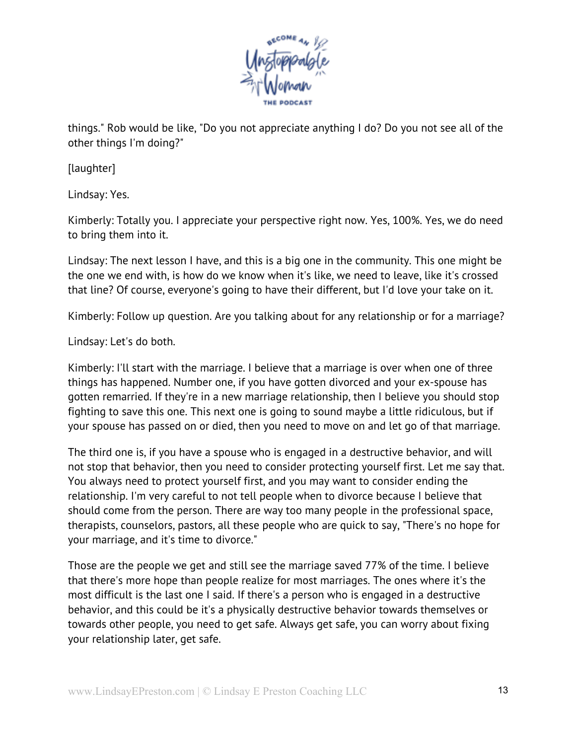

things." Rob would be like, "Do you not appreciate anything I do? Do you not see all of the other things I'm doing?"

[laughter]

Lindsay: Yes.

Kimberly: Totally you. I appreciate your perspective right now. Yes, 100%. Yes, we do need to bring them into it.

Lindsay: The next lesson I have, and this is a big one in the community. This one might be the one we end with, is how do we know when it's like, we need to leave, like it's crossed that line? Of course, everyone's going to have their different, but I'd love your take on it.

Kimberly: Follow up question. Are you talking about for any relationship or for a marriage?

Lindsay: Let's do both.

Kimberly: I'll start with the marriage. I believe that a marriage is over when one of three things has happened. Number one, if you have gotten divorced and your ex-spouse has gotten remarried. If they're in a new marriage relationship, then I believe you should stop fighting to save this one. This next one is going to sound maybe a little ridiculous, but if your spouse has passed on or died, then you need to move on and let go of that marriage.

The third one is, if you have a spouse who is engaged in a destructive behavior, and will not stop that behavior, then you need to consider protecting yourself first. Let me say that. You always need to protect yourself first, and you may want to consider ending the relationship. I'm very careful to not tell people when to divorce because I believe that should come from the person. There are way too many people in the professional space, therapists, counselors, pastors, all these people who are quick to say, "There's no hope for your marriage, and it's time to divorce."

Those are the people we get and still see the marriage saved 77% of the time. I believe that there's more hope than people realize for most marriages. The ones where it's the most difficult is the last one I said. If there's a person who is engaged in a destructive behavior, and this could be it's a physically destructive behavior towards themselves or towards other people, you need to get safe. Always get safe, you can worry about fixing your relationship later, get safe.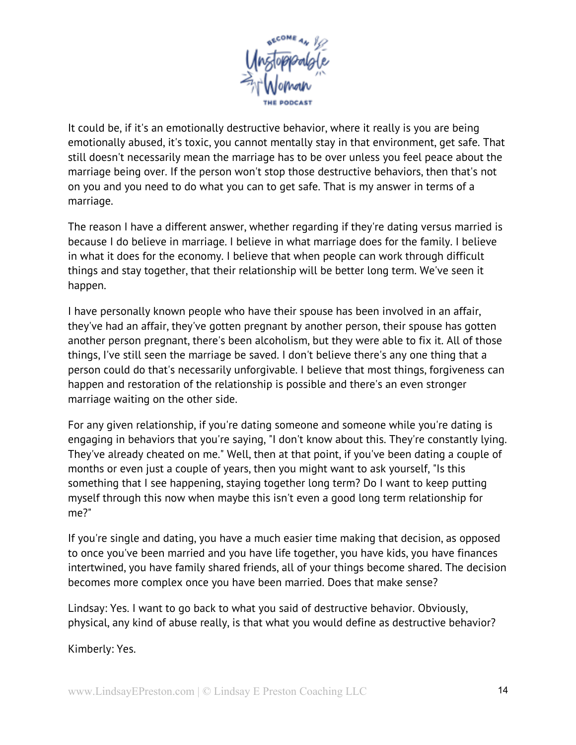

It could be, if it's an emotionally destructive behavior, where it really is you are being emotionally abused, it's toxic, you cannot mentally stay in that environment, get safe. That still doesn't necessarily mean the marriage has to be over unless you feel peace about the marriage being over. If the person won't stop those destructive behaviors, then that's not on you and you need to do what you can to get safe. That is my answer in terms of a marriage.

The reason I have a different answer, whether regarding if they're dating versus married is because I do believe in marriage. I believe in what marriage does for the family. I believe in what it does for the economy. I believe that when people can work through difficult things and stay together, that their relationship will be better long term. We've seen it happen.

I have personally known people who have their spouse has been involved in an affair, they've had an affair, they've gotten pregnant by another person, their spouse has gotten another person pregnant, there's been alcoholism, but they were able to fix it. All of those things, I've still seen the marriage be saved. I don't believe there's any one thing that a person could do that's necessarily unforgivable. I believe that most things, forgiveness can happen and restoration of the relationship is possible and there's an even stronger marriage waiting on the other side.

For any given relationship, if you're dating someone and someone while you're dating is engaging in behaviors that you're saying, "I don't know about this. They're constantly lying. They've already cheated on me." Well, then at that point, if you've been dating a couple of months or even just a couple of years, then you might want to ask yourself, "Is this something that I see happening, staying together long term? Do I want to keep putting myself through this now when maybe this isn't even a good long term relationship for me?"

If you're single and dating, you have a much easier time making that decision, as opposed to once you've been married and you have life together, you have kids, you have finances intertwined, you have family shared friends, all of your things become shared. The decision becomes more complex once you have been married. Does that make sense?

Lindsay: Yes. I want to go back to what you said of destructive behavior. Obviously, physical, any kind of abuse really, is that what you would define as destructive behavior?

Kimberly: Yes.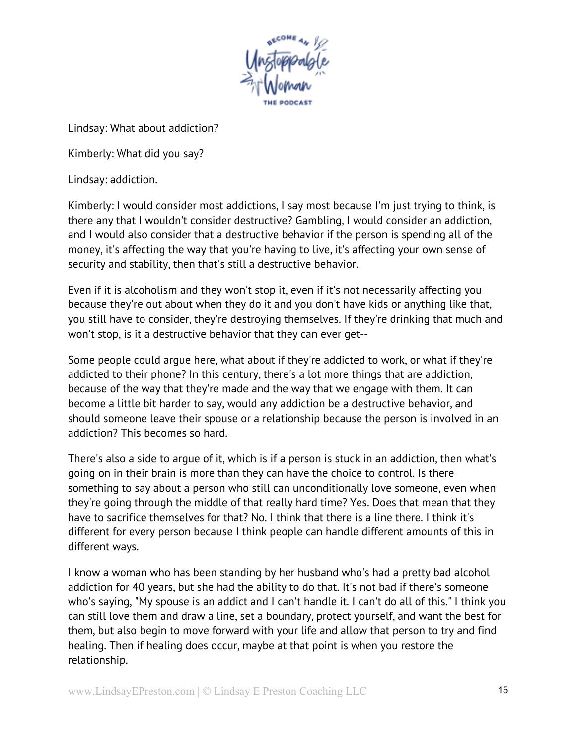

Lindsay: What about addiction?

Kimberly: What did you say?

Lindsay: addiction.

Kimberly: I would consider most addictions, I say most because I'm just trying to think, is there any that I wouldn't consider destructive? Gambling, I would consider an addiction, and I would also consider that a destructive behavior if the person is spending all of the money, it's affecting the way that you're having to live, it's affecting your own sense of security and stability, then that's still a destructive behavior.

Even if it is alcoholism and they won't stop it, even if it's not necessarily affecting you because they're out about when they do it and you don't have kids or anything like that, you still have to consider, they're destroying themselves. If they're drinking that much and won't stop, is it a destructive behavior that they can ever get--

Some people could argue here, what about if they're addicted to work, or what if they're addicted to their phone? In this century, there's a lot more things that are addiction, because of the way that they're made and the way that we engage with them. It can become a little bit harder to say, would any addiction be a destructive behavior, and should someone leave their spouse or a relationship because the person is involved in an addiction? This becomes so hard.

There's also a side to argue of it, which is if a person is stuck in an addiction, then what's going on in their brain is more than they can have the choice to control. Is there something to say about a person who still can unconditionally love someone, even when they're going through the middle of that really hard time? Yes. Does that mean that they have to sacrifice themselves for that? No. I think that there is a line there. I think it's different for every person because I think people can handle different amounts of this in different ways.

I know a woman who has been standing by her husband who's had a pretty bad alcohol addiction for 40 years, but she had the ability to do that. It's not bad if there's someone who's saying, "My spouse is an addict and I can't handle it. I can't do all of this." I think you can still love them and draw a line, set a boundary, protect yourself, and want the best for them, but also begin to move forward with your life and allow that person to try and find healing. Then if healing does occur, maybe at that point is when you restore the relationship.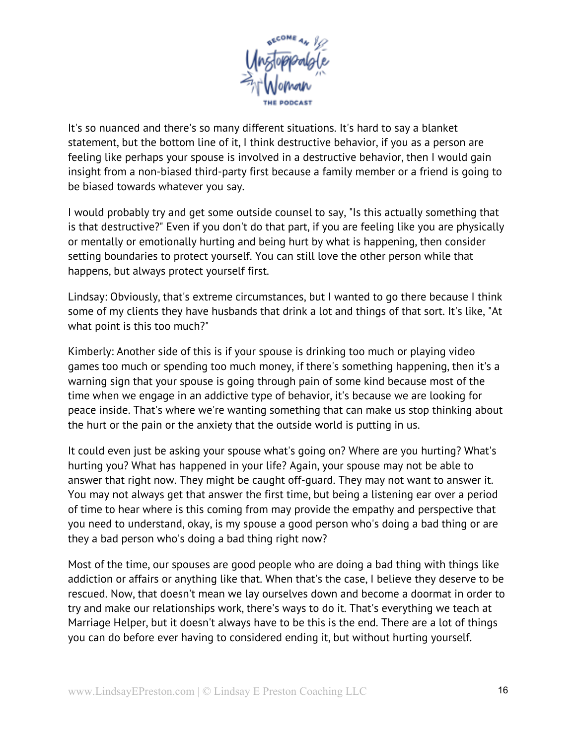

It's so nuanced and there's so many different situations. It's hard to say a blanket statement, but the bottom line of it, I think destructive behavior, if you as a person are feeling like perhaps your spouse is involved in a destructive behavior, then I would gain insight from a non-biased third-party first because a family member or a friend is going to be biased towards whatever you say.

I would probably try and get some outside counsel to say, "Is this actually something that is that destructive?" Even if you don't do that part, if you are feeling like you are physically or mentally or emotionally hurting and being hurt by what is happening, then consider setting boundaries to protect yourself. You can still love the other person while that happens, but always protect yourself first.

Lindsay: Obviously, that's extreme circumstances, but I wanted to go there because I think some of my clients they have husbands that drink a lot and things of that sort. It's like, "At what point is this too much?"

Kimberly: Another side of this is if your spouse is drinking too much or playing video games too much or spending too much money, if there's something happening, then it's a warning sign that your spouse is going through pain of some kind because most of the time when we engage in an addictive type of behavior, it's because we are looking for peace inside. That's where we're wanting something that can make us stop thinking about the hurt or the pain or the anxiety that the outside world is putting in us.

It could even just be asking your spouse what's going on? Where are you hurting? What's hurting you? What has happened in your life? Again, your spouse may not be able to answer that right now. They might be caught off-guard. They may not want to answer it. You may not always get that answer the first time, but being a listening ear over a period of time to hear where is this coming from may provide the empathy and perspective that you need to understand, okay, is my spouse a good person who's doing a bad thing or are they a bad person who's doing a bad thing right now?

Most of the time, our spouses are good people who are doing a bad thing with things like addiction or affairs or anything like that. When that's the case, I believe they deserve to be rescued. Now, that doesn't mean we lay ourselves down and become a doormat in order to try and make our relationships work, there's ways to do it. That's everything we teach at Marriage Helper, but it doesn't always have to be this is the end. There are a lot of things you can do before ever having to considered ending it, but without hurting yourself.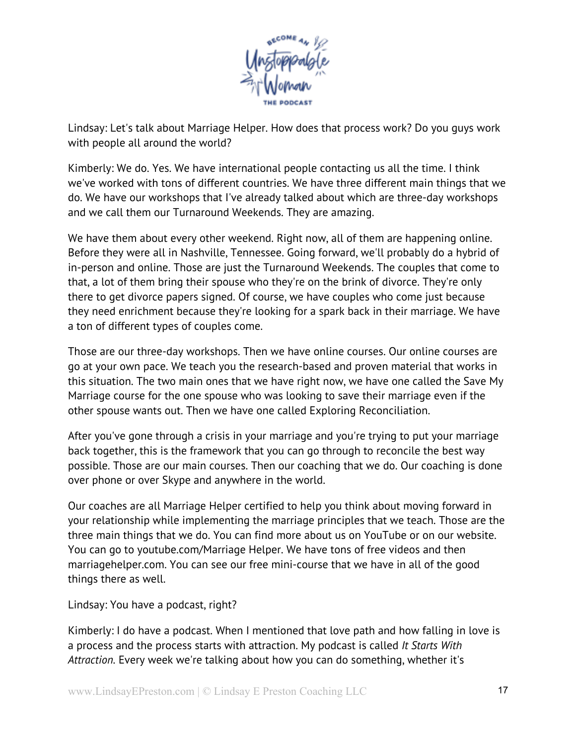

Lindsay: Let's talk about Marriage Helper. How does that process work? Do you guys work with people all around the world?

Kimberly: We do. Yes. We have international people contacting us all the time. I think we've worked with tons of different countries. We have three different main things that we do. We have our workshops that I've already talked about which are three-day workshops and we call them our Turnaround Weekends. They are amazing.

We have them about every other weekend. Right now, all of them are happening online. Before they were all in Nashville, Tennessee. Going forward, we'll probably do a hybrid of in-person and online. Those are just the Turnaround Weekends. The couples that come to that, a lot of them bring their spouse who they're on the brink of divorce. They're only there to get divorce papers signed. Of course, we have couples who come just because they need enrichment because they're looking for a spark back in their marriage. We have a ton of different types of couples come.

Those are our three-day workshops. Then we have online courses. Our online courses are go at your own pace. We teach you the research-based and proven material that works in this situation. The two main ones that we have right now, we have one called the Save My Marriage course for the one spouse who was looking to save their marriage even if the other spouse wants out. Then we have one called Exploring Reconciliation.

After you've gone through a crisis in your marriage and you're trying to put your marriage back together, this is the framework that you can go through to reconcile the best way possible. Those are our main courses. Then our coaching that we do. Our coaching is done over phone or over Skype and anywhere in the world.

Our coaches are all Marriage Helper certified to help you think about moving forward in your relationship while implementing the marriage principles that we teach. Those are the three main things that we do. You can find more about us on YouTube or on our website. You can go to youtube.com/Marriage Helper. We have tons of free videos and then marriagehelper.com. You can see our free mini-course that we have in all of the good things there as well.

Lindsay: You have a podcast, right?

Kimberly: I do have a podcast. When I mentioned that love path and how falling in love is a process and the process starts with attraction. My podcast is called *It Starts With Attraction.* Every week we're talking about how you can do something, whether it's